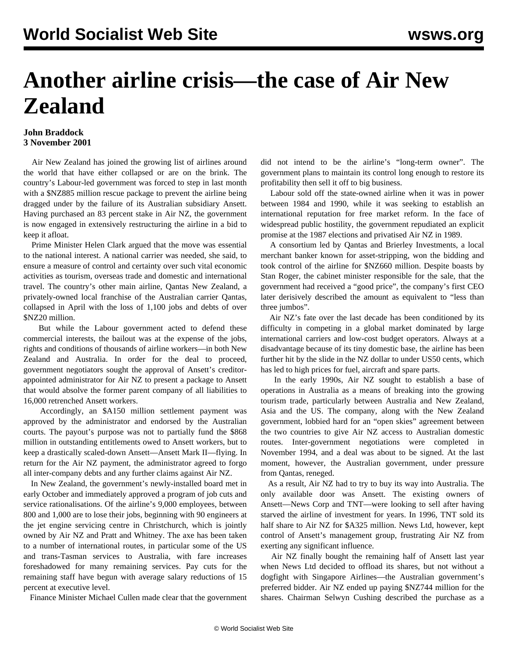## **Another airline crisis—the case of Air New Zealand**

## **John Braddock 3 November 2001**

 Air New Zealand has joined the growing list of airlines around the world that have either collapsed or are on the brink. The country's Labour-led government was forced to step in last month with a \$NZ885 million rescue package to prevent the airline being dragged under by the failure of its Australian subsidiary Ansett. Having purchased an 83 percent stake in Air NZ, the government is now engaged in extensively restructuring the airline in a bid to keep it afloat.

 Prime Minister Helen Clark argued that the move was essential to the national interest. A national carrier was needed, she said, to ensure a measure of control and certainty over such vital economic activities as tourism, overseas trade and domestic and international travel. The country's other main airline, Qantas New Zealand, a privately-owned local franchise of the Australian carrier Qantas, collapsed in April with the loss of 1,100 jobs and debts of over \$NZ20 million.

 But while the Labour government acted to defend these commercial interests, the bailout was at the expense of the jobs, rights and conditions of thousands of airline workers—in both New Zealand and Australia. In order for the deal to proceed, government negotiators sought the approval of Ansett's creditorappointed administrator for Air NZ to present a package to Ansett that would absolve the former parent company of all liabilities to 16,000 retrenched Ansett workers.

 Accordingly, an \$A150 million settlement payment was approved by the administrator and endorsed by the Australian courts. The payout's purpose was not to partially fund the \$868 million in outstanding entitlements owed to Ansett workers, but to keep a drastically scaled-down Ansett—Ansett Mark II—flying. In return for the Air NZ payment, the administrator agreed to forgo all inter-company debts and any further claims against Air NZ.

 In New Zealand, the government's newly-installed board met in early October and immediately approved a program of job cuts and service rationalisations. Of the airline's 9,000 employees, between 800 and 1,000 are to lose their jobs, beginning with 90 engineers at the jet engine servicing centre in Christchurch, which is jointly owned by Air NZ and Pratt and Whitney. The axe has been taken to a number of international routes, in particular some of the US and trans-Tasman services to Australia, with fare increases foreshadowed for many remaining services. Pay cuts for the remaining staff have begun with average salary reductions of 15 percent at executive level.

Finance Minister Michael Cullen made clear that the government

did not intend to be the airline's "long-term owner". The government plans to maintain its control long enough to restore its profitability then sell it off to big business.

 Labour sold off the state-owned airline when it was in power between 1984 and 1990, while it was seeking to establish an international reputation for free market reform. In the face of widespread public hostility, the government repudiated an explicit promise at the 1987 elections and privatised Air NZ in 1989.

 A consortium led by Qantas and Brierley Investments, a local merchant banker known for asset-stripping, won the bidding and took control of the airline for \$NZ660 million. Despite boasts by Stan Roger, the cabinet minister responsible for the sale, that the government had received a "good price", the company's first CEO later derisively described the amount as equivalent to "less than three jumbos".

 Air NZ's fate over the last decade has been conditioned by its difficulty in competing in a global market dominated by large international carriers and low-cost budget operators. Always at a disadvantage because of its tiny domestic base, the airline has been further hit by the slide in the NZ dollar to under US50 cents, which has led to high prices for fuel, aircraft and spare parts.

 In the early 1990s, Air NZ sought to establish a base of operations in Australia as a means of breaking into the growing tourism trade, particularly between Australia and New Zealand, Asia and the US. The company, along with the New Zealand government, lobbied hard for an "open skies" agreement between the two countries to give Air NZ access to Australian domestic routes. Inter-government negotiations were completed in November 1994, and a deal was about to be signed. At the last moment, however, the Australian government, under pressure from Qantas, reneged.

 As a result, Air NZ had to try to buy its way into Australia. The only available door was Ansett. The existing owners of Ansett—News Corp and TNT—were looking to sell after having starved the airline of investment for years. In 1996, TNT sold its half share to Air NZ for \$A325 million. News Ltd, however, kept control of Ansett's management group, frustrating Air NZ from exerting any significant influence.

 Air NZ finally bought the remaining half of Ansett last year when News Ltd decided to offload its shares, but not without a dogfight with Singapore Airlines—the Australian government's preferred bidder. Air NZ ended up paying \$NZ744 million for the shares. Chairman Selwyn Cushing described the purchase as a